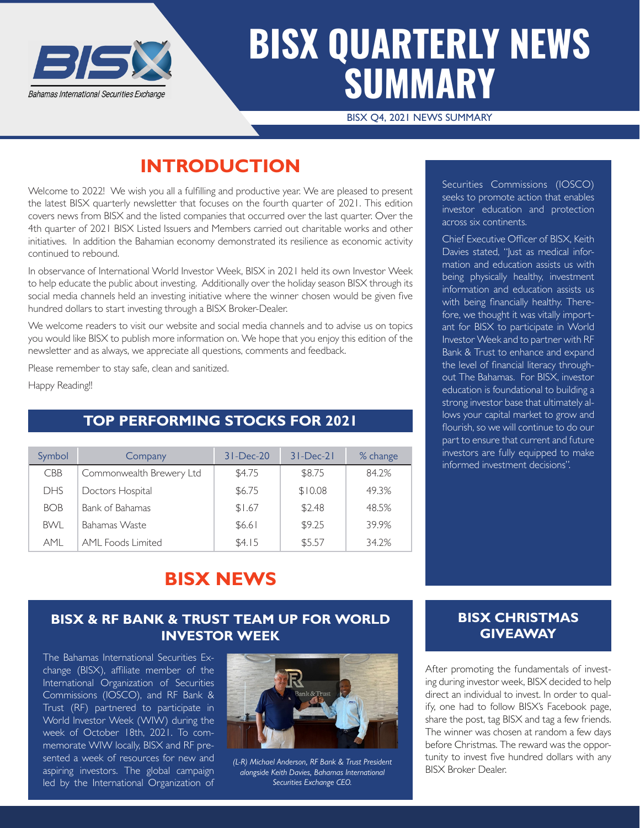

## **BISX QUARTERLY NEWS SUMMARY**

BISX Q4, 2021 NEWS SUMMARY

## **INTRODUCTION**

Welcome to 2022! We wish you all a fulfilling and productive year. We are pleased to present the latest BISX quarterly newsletter that focuses on the fourth quarter of 2021. This edition covers news from BISX and the listed companies that occurred over the last quarter. Over the 4th quarter of 2021 BISX Listed Issuers and Members carried out charitable works and other initiatives. In addition the Bahamian economy demonstrated its resilience as economic activity continued to rebound.

In observance of International World Investor Week, BISX in 2021 held its own Investor Week to help educate the public about investing. Additionally over the holiday season BISX through its social media channels held an investing initiative where the winner chosen would be given five hundred dollars to start investing through a BISX Broker-Dealer.

We welcome readers to visit our website and social media channels and to advise us on topics you would like BISX to publish more information on. We hope that you enjoy this edition of the newsletter and as always, we appreciate all questions, comments and feedback.

Please remember to stay safe, clean and sanitized.

Happy Reading!!

#### **TOP PERFORMING STOCKS FOR 2021**

| Symbol     | Company                  | $31 - Dec-20$ | $31 - Dec-21$ | % change |
|------------|--------------------------|---------------|---------------|----------|
| <b>CBB</b> | Commonwealth Brewery Ltd | \$4.75        | \$8.75        | 84.2%    |
| <b>DHS</b> | Doctors Hospital         | \$6.75        | \$10.08       | 49.3%    |
| <b>BOB</b> | <b>Bank of Bahamas</b>   | \$1.67        | \$2.48        | 48.5%    |
| <b>BWL</b> | <b>Bahamas Waste</b>     | \$6.61        | \$9.25        | 39.9%    |
| <b>AMI</b> | <b>AML Foods Limited</b> | \$4.15        | \$5.57        | 34.2%    |

Securities Commissions (IOSCO) seeks to promote action that enables investor education and protection across six continents.

Chief Executive Officer of BISX, Keith Davies stated, "Just as medical information and education assists us with being physically healthy, investment information and education assists us with being financially healthy. Therefore, we thought it was vitally important for BISX to participate in World Investor Week and to partner with RF Bank & Trust to enhance and expand the level of financial literacy throughout The Bahamas. For BISX, investor education is foundational to building a strong investor base that ultimately allows your capital market to grow and flourish, so we will continue to do our part to ensure that current and future investors are fully equipped to make informed investment decisions".

### **BISX NEWS**

#### **BISX & RF BANK & TRUST TEAM UP FOR WORLD INVESTOR WEEK**

The Bahamas International Securities Exchange (BISX), affiliate member of the International Organization of Securities Commissions (IOSCO), and RF Bank & Trust (RF) partnered to participate in World Investor Week (WIW) during the week of October 18th, 2021. To commemorate WIW locally, BISX and RF presented a week of resources for new and aspiring investors. The global campaign led by the International Organization of



*(L-R) Michael Anderson, RF Bank & Trust President alongside Keith Davies, Bahamas International Securities Exchange CEO.* 

#### **BISX CHRISTMAS GIVEAWAY**

After promoting the fundamentals of investing during investor week, BISX decided to help direct an individual to invest. In order to qualify, one had to follow BISX's Facebook page, share the post, tag BISX and tag a few friends. The winner was chosen at random a few days before Christmas. The reward was the opportunity to invest five hundred dollars with any BISX Broker Dealer.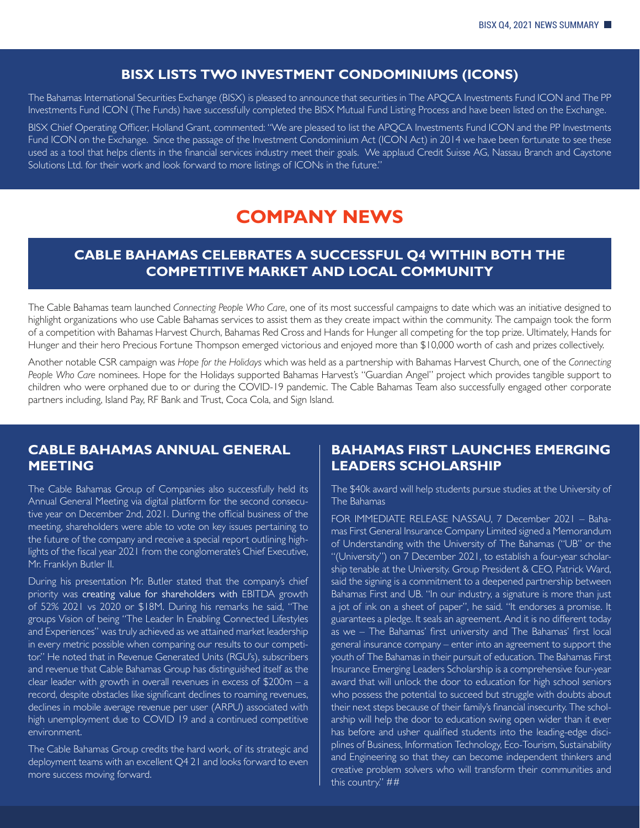#### **BISX LISTS TWO INVESTMENT CONDOMINIUMS (ICONS)**

The Bahamas International Securities Exchange (BISX) is pleased to announce that securities in The APQCA Investments Fund ICON and The PP Investments Fund ICON (The Funds) have successfully completed the BISX Mutual Fund Listing Process and have been listed on the Exchange.

BISX Chief Operating Officer, Holland Grant, commented: "We are pleased to list the APQCA Investments Fund ICON and the PP Investments Fund ICON on the Exchange. Since the passage of the Investment Condominium Act (ICON Act) in 2014 we have been fortunate to see these used as a tool that helps clients in the financial services industry meet their goals. We applaud Credit Suisse AG, Nassau Branch and Caystone Solutions Ltd. for their work and look forward to more listings of ICONs in the future."

#### **COMPANY NEWS**

#### **CABLE BAHAMAS CELEBRATES A SUCCESSFUL Q4 WITHIN BOTH THE COMPETITIVE MARKET AND LOCAL COMMUNITY**

The Cable Bahamas team launched *Connecting People Who Care*, one of its most successful campaigns to date which was an initiative designed to highlight organizations who use Cable Bahamas services to assist them as they create impact within the community. The campaign took the form of a competition with Bahamas Harvest Church, Bahamas Red Cross and Hands for Hunger all competing for the top prize. Ultimately, Hands for Hunger and their hero Precious Fortune Thompson emerged victorious and enjoyed more than \$10,000 worth of cash and prizes collectively.

Another notable CSR campaign was *Hope for the Holidays* which was held as a partnership with Bahamas Harvest Church, one of the *Connecting People Who Care* nominees. Hope for the Holidays supported Bahamas Harvest's "Guardian Angel" project which provides tangible support to children who were orphaned due to or during the COVID-19 pandemic. The Cable Bahamas Team also successfully engaged other corporate partners including, Island Pay, RF Bank and Trust, Coca Cola, and Sign Island.

#### **CABLE BAHAMAS ANNUAL GENERAL MEETING**

The Cable Bahamas Group of Companies also successfully held its Annual General Meeting via digital platform for the second consecutive year on December 2nd, 2021. During the official business of the meeting, shareholders were able to vote on key issues pertaining to the future of the company and receive a special report outlining highlights of the fiscal year 2021 from the conglomerate's Chief Executive, Mr. Franklyn Butler II.

During his presentation Mr. Butler stated that the company's chief priority was creating value for shareholders with EBITDA growth of 52% 2021 vs 2020 or \$18M. During his remarks he said, "The groups Vision of being "The Leader In Enabling Connected Lifestyles and Experiences" was truly achieved as we attained market leadership in every metric possible when comparing our results to our competitor." He noted that in Revenue Generated Units (RGU's), subscribers and revenue that Cable Bahamas Group has distinguished itself as the clear leader with growth in overall revenues in excess of \$200m – a record, despite obstacles like significant declines to roaming revenues, declines in mobile average revenue per user (ARPU) associated with high unemployment due to COVID 19 and a continued competitive environment.

The Cable Bahamas Group credits the hard work, of its strategic and deployment teams with an excellent Q4 21 and looks forward to even more success moving forward.

#### **BAHAMAS FIRST LAUNCHES EMERGING LEADERS SCHOLARSHIP**

The \$40k award will help students pursue studies at the University of The Bahamas

FOR IMMEDIATE RELEASE NASSAU, 7 December 2021 – Bahamas First General Insurance Company Limited signed a Memorandum of Understanding with the University of The Bahamas ("UB" or the "(University") on 7 December 2021, to establish a four-year scholarship tenable at the University. Group President & CEO, Patrick Ward, said the signing is a commitment to a deepened partnership between Bahamas First and UB. "In our industry, a signature is more than just a jot of ink on a sheet of paper", he said. "It endorses a promise. It guarantees a pledge. It seals an agreement. And it is no different today as we – The Bahamas' first university and The Bahamas' first local general insurance company – enter into an agreement to support the youth of The Bahamas in their pursuit of education. The Bahamas First Insurance Emerging Leaders Scholarship is a comprehensive four-year award that will unlock the door to education for high school seniors who possess the potential to succeed but struggle with doubts about their next steps because of their family's financial insecurity. The scholarship will help the door to education swing open wider than it ever has before and usher qualified students into the leading-edge disciplines of Business, Information Technology, Eco-Tourism, Sustainability and Engineering so that they can become independent thinkers and creative problem solvers who will transform their communities and this country." ##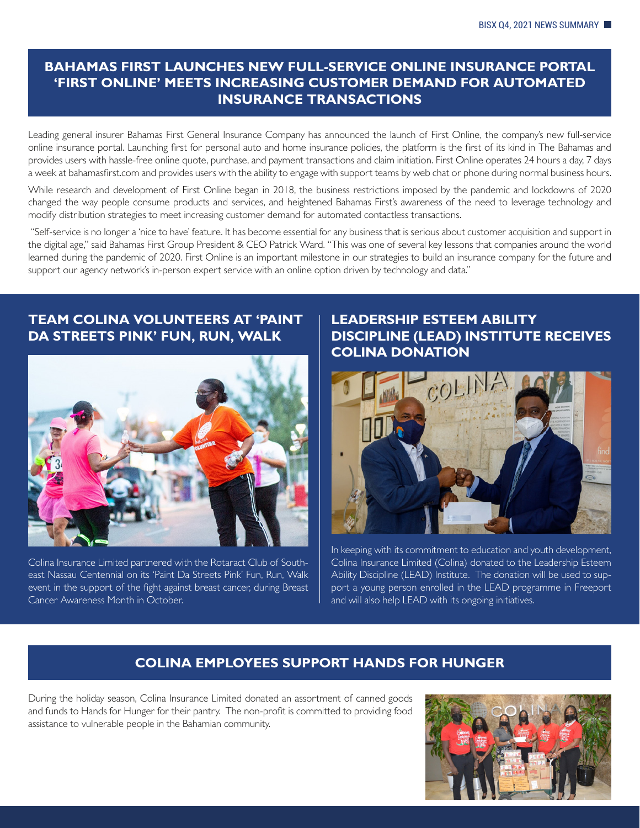#### **BAHAMAS FIRST LAUNCHES NEW FULL-SERVICE ONLINE INSURANCE PORTAL 'FIRST ONLINE' MEETS INCREASING CUSTOMER DEMAND FOR AUTOMATED INSURANCE TRANSACTIONS**

Leading general insurer Bahamas First General Insurance Company has announced the launch of First Online, the company's new full-service online insurance portal. Launching first for personal auto and home insurance policies, the platform is the first of its kind in The Bahamas and provides users with hassle-free online quote, purchase, and payment transactions and claim initiation. First Online operates 24 hours a day, 7 days a week at bahamasfirst.com and provides users with the ability to engage with support teams by web chat or phone during normal business hours.

While research and development of First Online began in 2018, the business restrictions imposed by the pandemic and lockdowns of 2020 changed the way people consume products and services, and heightened Bahamas First's awareness of the need to leverage technology and modify distribution strategies to meet increasing customer demand for automated contactless transactions.

 "Self-service is no longer a 'nice to have' feature. It has become essential for any business that is serious about customer acquisition and support in the digital age," said Bahamas First Group President & CEO Patrick Ward. "This was one of several key lessons that companies around the world learned during the pandemic of 2020. First Online is an important milestone in our strategies to build an insurance company for the future and support our agency network's in-person expert service with an online option driven by technology and data."

#### **TEAM COLINA VOLUNTEERS AT 'PAINT DA STREETS PINK' FUN, RUN, WALK**



Colina Insurance Limited partnered with the Rotaract Club of Southeast Nassau Centennial on its 'Paint Da Streets Pink' Fun, Run, Walk event in the support of the fight against breast cancer, during Breast Cancer Awareness Month in October.

#### **LEADERSHIP ESTEEM ABILITY DISCIPLINE (LEAD) INSTITUTE RECEIVES COLINA DONATION**



In keeping with its commitment to education and youth development, Colina Insurance Limited (Colina) donated to the Leadership Esteem Ability Discipline (LEAD) Institute. The donation will be used to support a young person enrolled in the LEAD programme in Freeport and will also help LEAD with its ongoing initiatives.

#### **COLINA EMPLOYEES SUPPORT HANDS FOR HUNGER**

During the holiday season, Colina Insurance Limited donated an assortment of canned goods and funds to Hands for Hunger for their pantry. The non-profit is committed to providing food assistance to vulnerable people in the Bahamian community.

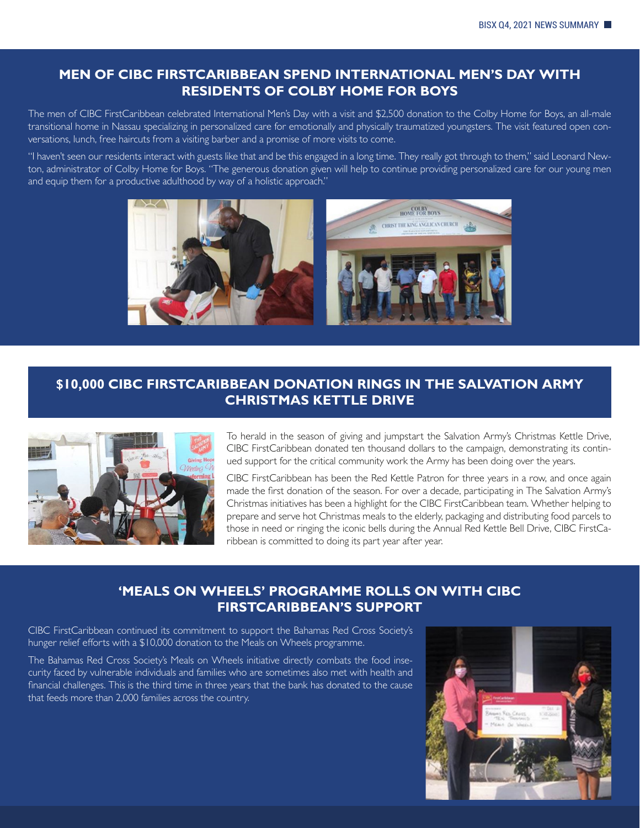#### **MEN OF CIBC FIRSTCARIBBEAN SPEND INTERNATIONAL MEN'S DAY WITH RESIDENTS OF COLBY HOME FOR BOYS**

The men of CIBC FirstCaribbean celebrated International Men's Day with a visit and \$2,500 donation to the Colby Home for Boys, an all-male transitional home in Nassau specializing in personalized care for emotionally and physically traumatized youngsters. The visit featured open conversations, lunch, free haircuts from a visiting barber and a promise of more visits to come.

"I haven't seen our residents interact with guests like that and be this engaged in a long time. They really got through to them," said Leonard Newton, administrator of Colby Home for Boys. "The generous donation given will help to continue providing personalized care for our young men and equip them for a productive adulthood by way of a holistic approach."



#### **\$10,000 CIBC FIRSTCARIBBEAN DONATION RINGS IN THE SALVATION ARMY CHRISTMAS KETTLE DRIVE**



To herald in the season of giving and jumpstart the Salvation Army's Christmas Kettle Drive, CIBC FirstCaribbean donated ten thousand dollars to the campaign, demonstrating its continued support for the critical community work the Army has been doing over the years.

CIBC FirstCaribbean has been the Red Kettle Patron for three years in a row, and once again made the first donation of the season. For over a decade, participating in The Salvation Army's Christmas initiatives has been a highlight for the CIBC FirstCaribbean team. Whether helping to prepare and serve hot Christmas meals to the elderly, packaging and distributing food parcels to those in need or ringing the iconic bells during the Annual Red Kettle Bell Drive, CIBC FirstCaribbean is committed to doing its part year after year.

#### **'MEALS ON WHEELS' PROGRAMME ROLLS ON WITH CIBC FIRSTCARIBBEAN'S SUPPORT**

CIBC FirstCaribbean continued its commitment to support the Bahamas Red Cross Society's hunger relief efforts with a \$10,000 donation to the Meals on Wheels programme.

The Bahamas Red Cross Society's Meals on Wheels initiative directly combats the food insecurity faced by vulnerable individuals and families who are sometimes also met with health and financial challenges. This is the third time in three years that the bank has donated to the cause that feeds more than 2,000 families across the country.

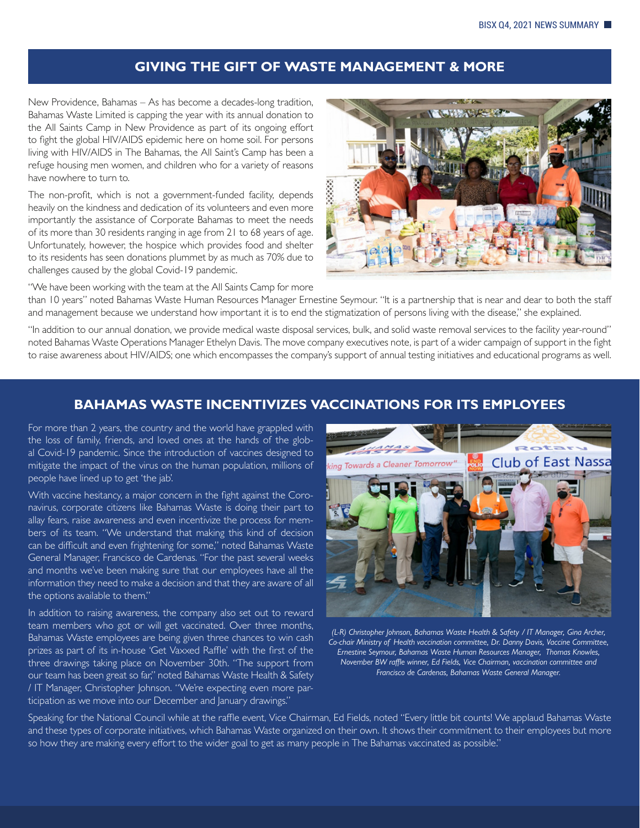#### **GIVING THE GIFT OF WASTE MANAGEMENT & MORE**

New Providence, Bahamas – As has become a decades-long tradition, Bahamas Waste Limited is capping the year with its annual donation to the All Saints Camp in New Providence as part of its ongoing effort to fight the global HIV/AIDS epidemic here on home soil. For persons living with HIV/AIDS in The Bahamas, the All Saint's Camp has been a refuge housing men women, and children who for a variety of reasons have nowhere to turn to.

The non-profit, which is not a government-funded facility, depends heavily on the kindness and dedication of its volunteers and even more importantly the assistance of Corporate Bahamas to meet the needs of its more than 30 residents ranging in age from 21 to 68 years of age. Unfortunately, however, the hospice which provides food and shelter to its residents has seen donations plummet by as much as 70% due to challenges caused by the global Covid-19 pandemic.



"We have been working with the team at the All Saints Camp for more

than 10 years" noted Bahamas Waste Human Resources Manager Ernestine Seymour. "It is a partnership that is near and dear to both the staff and management because we understand how important it is to end the stigmatization of persons living with the disease," she explained.

"In addition to our annual donation, we provide medical waste disposal services, bulk, and solid waste removal services to the facility year-round" noted Bahamas Waste Operations Manager Ethelyn Davis. The move company executives note, is part of a wider campaign of support in the fight to raise awareness about HIV/AIDS; one which encompasses the company's support of annual testing initiatives and educational programs as well.

#### **BAHAMAS WASTE INCENTIVIZES VACCINATIONS FOR ITS EMPLOYEES**

For more than 2 years, the country and the world have grappled with the loss of family, friends, and loved ones at the hands of the global Covid-19 pandemic. Since the introduction of vaccines designed to mitigate the impact of the virus on the human population, millions of people have lined up to get 'the jab'.

With vaccine hesitancy, a major concern in the fight against the Coronavirus, corporate citizens like Bahamas Waste is doing their part to allay fears, raise awareness and even incentivize the process for members of its team. "We understand that making this kind of decision can be difficult and even frightening for some," noted Bahamas Waste General Manager, Francisco de Cardenas. "For the past several weeks and months we've been making sure that our employees have all the information they need to make a decision and that they are aware of all the options available to them."

In addition to raising awareness, the company also set out to reward team members who got or will get vaccinated. Over three months, Bahamas Waste employees are being given three chances to win cash prizes as part of its in-house 'Get Vaxxed Raffle' with the first of the three drawings taking place on November 30th. "The support from our team has been great so far," noted Bahamas Waste Health & Safety / IT Manager, Christopher Johnson. "We're expecting even more participation as we move into our December and January drawings."



*(L-R) Christopher Johnson, Bahamas Waste Health & Safety / IT Manager, Gina Archer, Co-chair Ministry of Health vaccination committee, Dr. Danny Davis, Vaccine Committee, Ernestine Seymour, Bahamas Waste Human Resources Manager, Thomas Knowles, November BW raffle winner, Ed Fields, Vice Chairman, vaccination committee and Francisco de Cardenas, Bahamas Waste General Manager.*

Speaking for the National Council while at the raffle event, Vice Chairman, Ed Fields, noted "Every little bit counts! We applaud Bahamas Waste and these types of corporate initiatives, which Bahamas Waste organized on their own. It shows their commitment to their employees but more so how they are making every effort to the wider goal to get as many people in The Bahamas vaccinated as possible."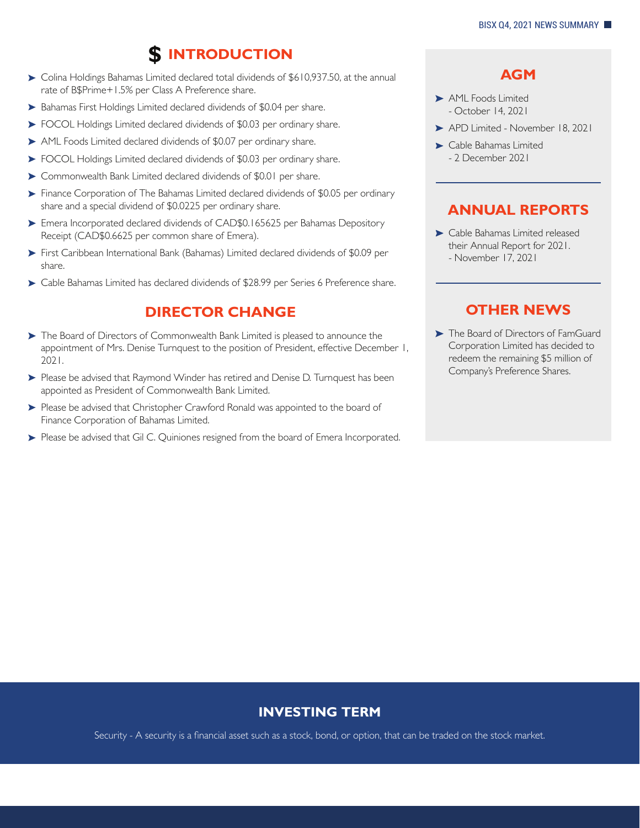## **INTRODUCTION** \$

- Colina Holdings Bahamas Limited declared total dividends of \$610,937.50, at the annual rate of B\$Prime+1.5% per Class A Preference share.
- Bahamas First Holdings Limited declared dividends of \$0.04 per share.
- FOCOL Holdings Limited declared dividends of \$0.03 per ordinary share.
- AML Foods Limited declared dividends of \$0.07 per ordinary share.
- FOCOL Holdings Limited declared dividends of \$0.03 per ordinary share.
- Commonwealth Bank Limited declared dividends of \$0.01 per share.
- Finance Corporation of The Bahamas Limited declared dividends of \$0.05 per ordinary share and a special dividend of \$0.0225 per ordinary share.
- Emera Incorporated declared dividends of CAD\$0.165625 per Bahamas Depository Receipt (CAD\$0.6625 per common share of Emera).
- First Caribbean International Bank (Bahamas) Limited declared dividends of \$0.09 per share.
- Cable Bahamas Limited has declared dividends of \$28.99 per Series 6 Preference share.

#### **DIRECTOR CHANGE**

- $\triangleright$  The Board of Directors of Commonwealth Bank Limited is pleased to announce the appointment of Mrs. Denise Turnquest to the position of President, effective December 1, 2021.
- Please be advised that Raymond Winder has retired and Denise D. Turnquest has been appointed as President of Commonwealth Bank Limited.
- Please be advised that Christopher Crawford Ronald was appointed to the board of Finance Corporation of Bahamas Limited.
- Please be advised that Gil C. Quiniones resigned from the board of Emera Incorporated.

#### **AGM**

- AML Foods Limited - October 14, 2021
- APD Limited November 18, 2021
- Cable Bahamas Limited - 2 December 2021

#### **ANNUAL REPORTS**

Cable Bahamas Limited released their Annual Report for 2021. - November 17, 2021

#### **OTHER NEWS**

The Board of Directors of FamGuard Corporation Limited has decided to redeem the remaining \$5 million of Company's Preference Shares.

#### **INVESTING TERM**

Security - A security is a financial asset such as a stock, bond, or option, that can be traded on the stock market.